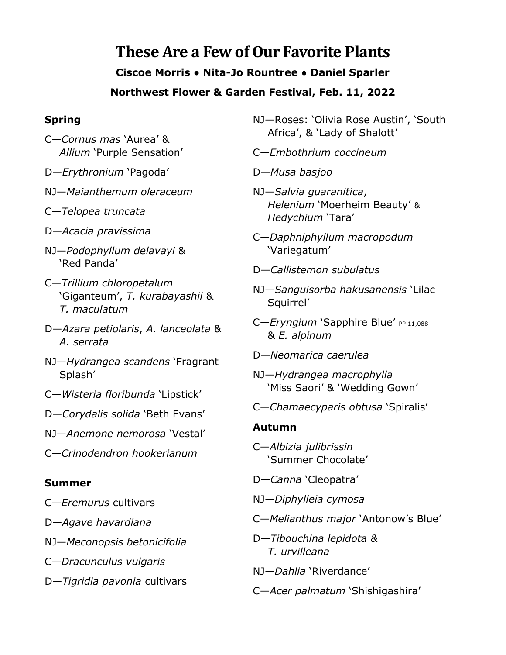# **These Are a Few of Our Favorite Plants Ciscoe Morris ● Nita-Jo Rountree ● Daniel Sparler Northwest Flower & Garden Festival, Feb. 11, 2022**

### **Spring**

- C—*Cornus mas* 'Aurea' & *Allium* 'Purple Sensation'
- D—*Erythronium* 'Pagoda'
- NJ—*Maianthemum oleraceum*
- C—*Telopea truncata*
- D—*Acacia pravissima*
- NJ—*Podophyllum delavayi* & 'Red Panda'
- C—*Trillium chloropetalum* 'Giganteum', *T. kurabayashii* & *T. maculatum*
- D—*Azara petiolaris*, *A. lanceolata* & *A. serrata*
- NJ—*Hydrangea scandens* 'Fragrant Splash'
- C—*Wisteria floribunda* 'Lipstick'
- D—*Corydalis solida* 'Beth Evans'
- NJ—*Anemone nemorosa* 'Vestal'
- C—*Crinodendron hookerianum*

## **Summer**

- C—*Eremurus* cultivars
- D—*Agave havardiana*
- NJ—*Meconopsis betonicifolia*
- C—*Dracunculus vulgaris*
- D—*Tigridia pavonia* cultivars
- NJ—Roses: 'Olivia Rose Austin', 'South Africa', & 'Lady of Shalott'
- C—*Embothrium coccineum*
- D—*Musa basjoo*
- NJ—*Salvia guaranitica*, *Helenium* 'Moerheim Beauty' & *Hedychium* 'Tara'
- C—*Daphniphyllum macropodum* 'Variegatum'
- D—*Callistemon subulatus*
- NJ—*Sanguisorba hakusanensis* 'Lilac Squirrel'
- C-*Eryngium* 'Sapphire Blue' PP 11,088 & *E. alpinum*
- D—*Neomarica caerulea*
- NJ—*Hydrangea macrophylla* 'Miss Saori' & 'Wedding Gown'
- C—*Chamaecyparis obtusa* 'Spiralis'

#### **Autumn**

- C—*Albizia julibrissin* 'Summer Chocolate'
- D—*Canna* 'Cleopatra'
- NJ—*Diphylleia cymosa*
- C—*Melianthus major* 'Antonow's Blue'
- D—*Tibouchina lepidota & T. urvilleana*
- NJ—*Dahlia* 'Riverdance'
- C—*Acer palmatum* 'Shishigashira'